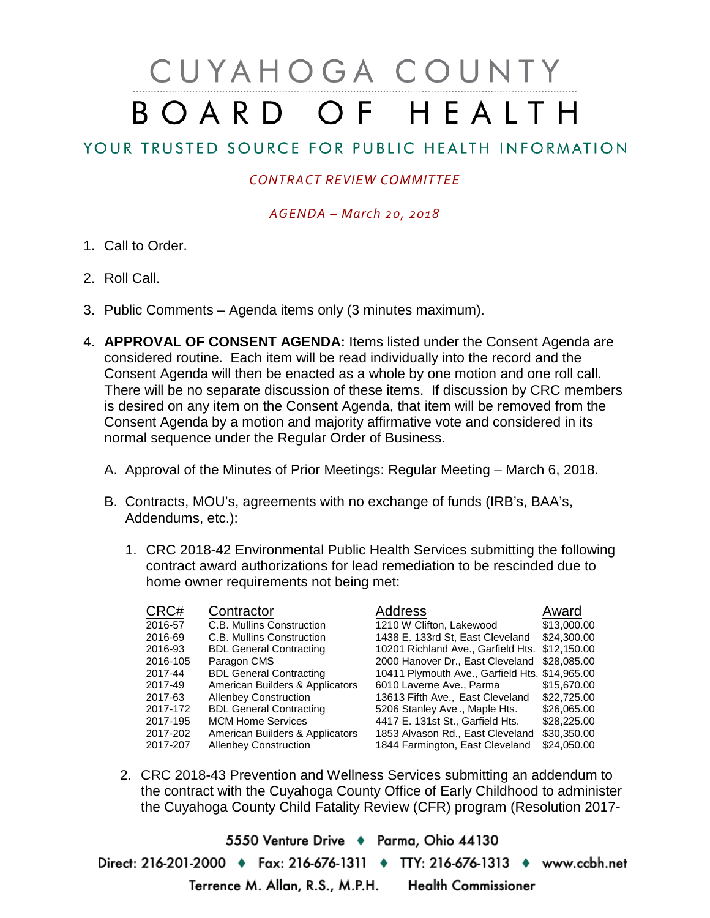# CUYAHOGA COUNTY BOARD OF HEALTH

# YOUR TRUSTED SOURCE FOR PUBLIC HEALTH INFORMATION

## *CONTRACT REVIEW COMMITTEE*

### *AGENDA – March 20, 2018*

- 1. Call to Order.
- 2. Roll Call.
- 3. Public Comments Agenda items only (3 minutes maximum).
- 4. **APPROVAL OF CONSENT AGENDA:** Items listed under the Consent Agenda are considered routine. Each item will be read individually into the record and the Consent Agenda will then be enacted as a whole by one motion and one roll call. There will be no separate discussion of these items. If discussion by CRC members is desired on any item on the Consent Agenda, that item will be removed from the Consent Agenda by a motion and majority affirmative vote and considered in its normal sequence under the Regular Order of Business.
	- A. Approval of the Minutes of Prior Meetings: Regular Meeting March 6, 2018.
	- B. Contracts, MOU's, agreements with no exchange of funds (IRB's, BAA's, Addendums, etc.):
		- 1. CRC 2018-42 Environmental Public Health Services submitting the following contract award authorizations for lead remediation to be rescinded due to home owner requirements not being met:

| CRC#     | Contractor                      | Address                                        | Award       |
|----------|---------------------------------|------------------------------------------------|-------------|
| 2016-57  | C.B. Mullins Construction       | 1210 W Clifton, Lakewood                       | \$13,000.00 |
| 2016-69  | C.B. Mullins Construction       | 1438 E. 133rd St, East Cleveland               | \$24,300,00 |
| 2016-93  | <b>BDL General Contracting</b>  | 10201 Richland Ave., Garfield Hts.             | \$12,150.00 |
| 2016-105 | Paragon CMS                     | 2000 Hanover Dr., East Cleveland               | \$28,085.00 |
| 2017-44  | <b>BDL General Contracting</b>  | 10411 Plymouth Ave., Garfield Hts. \$14,965.00 |             |
| 2017-49  | American Builders & Applicators | 6010 Laverne Ave., Parma                       | \$15,670.00 |
| 2017-63  | <b>Allenbey Construction</b>    | 13613 Fifth Ave., East Cleveland               | \$22,725,00 |
| 2017-172 | <b>BDL General Contracting</b>  | 5206 Stanley Ave., Maple Hts.                  | \$26,065.00 |
| 2017-195 | <b>MCM Home Services</b>        | 4417 E. 131st St., Garfield Hts.               | \$28,225.00 |
| 2017-202 | American Builders & Applicators | 1853 Alvason Rd., East Cleveland               | \$30,350.00 |
| 2017-207 | <b>Allenbey Construction</b>    | 1844 Farmington, East Cleveland                | \$24,050.00 |

2. CRC 2018-43 Prevention and Wellness Services submitting an addendum to the contract with the Cuyahoga County Office of Early Childhood to administer the Cuyahoga County Child Fatality Review (CFR) program (Resolution 2017-

5550 Venture Drive + Parma, Ohio 44130 Direct: 216-201-2000 • Fax: 216-676-1311 • TTY: 216-676-1313 • www.ccbh.net Terrence M. Allan, R.S., M.P.H. Health Commissioner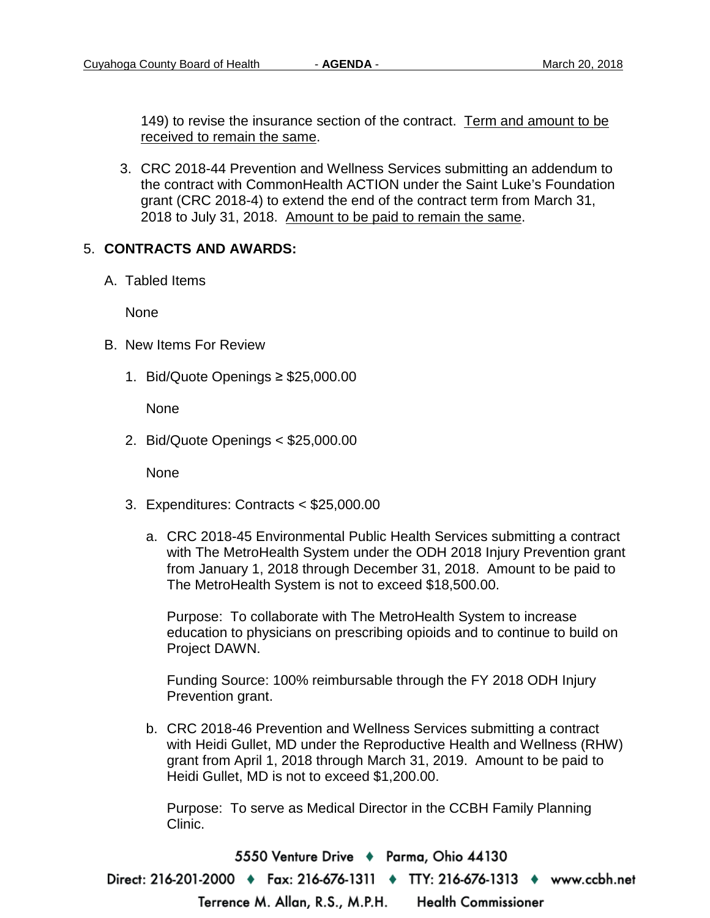149) to revise the insurance section of the contract. Term and amount to be received to remain the same.

3. CRC 2018-44 Prevention and Wellness Services submitting an addendum to the contract with CommonHealth ACTION under the Saint Luke's Foundation grant (CRC 2018-4) to extend the end of the contract term from March 31, 2018 to July 31, 2018. Amount to be paid to remain the same.

### 5. **CONTRACTS AND AWARDS:**

A. Tabled Items

None

- B. New Items For Review
	- 1. Bid/Quote Openings ≥ \$25,000.00

None

2. Bid/Quote Openings < \$25,000.00

None

- 3. Expenditures: Contracts < \$25,000.00
	- a. CRC 2018-45 Environmental Public Health Services submitting a contract with The MetroHealth System under the ODH 2018 Injury Prevention grant from January 1, 2018 through December 31, 2018. Amount to be paid to The MetroHealth System is not to exceed \$18,500.00.

Purpose: To collaborate with The MetroHealth System to increase education to physicians on prescribing opioids and to continue to build on Project DAWN.

Funding Source: 100% reimbursable through the FY 2018 ODH Injury Prevention grant.

b. CRC 2018-46 Prevention and Wellness Services submitting a contract with Heidi Gullet, MD under the Reproductive Health and Wellness (RHW) grant from April 1, 2018 through March 31, 2019. Amount to be paid to Heidi Gullet, MD is not to exceed \$1,200.00.

Purpose: To serve as Medical Director in the CCBH Family Planning Clinic.

5550 Venture Drive + Parma, Ohio 44130 Direct: 216-201-2000 ♦ Fax: 216-676-1311 ♦ TTY: 216-676-1313 ♦ www.ccbh.net Terrence M. Allan, R.S., M.P.H. **Health Commissioner**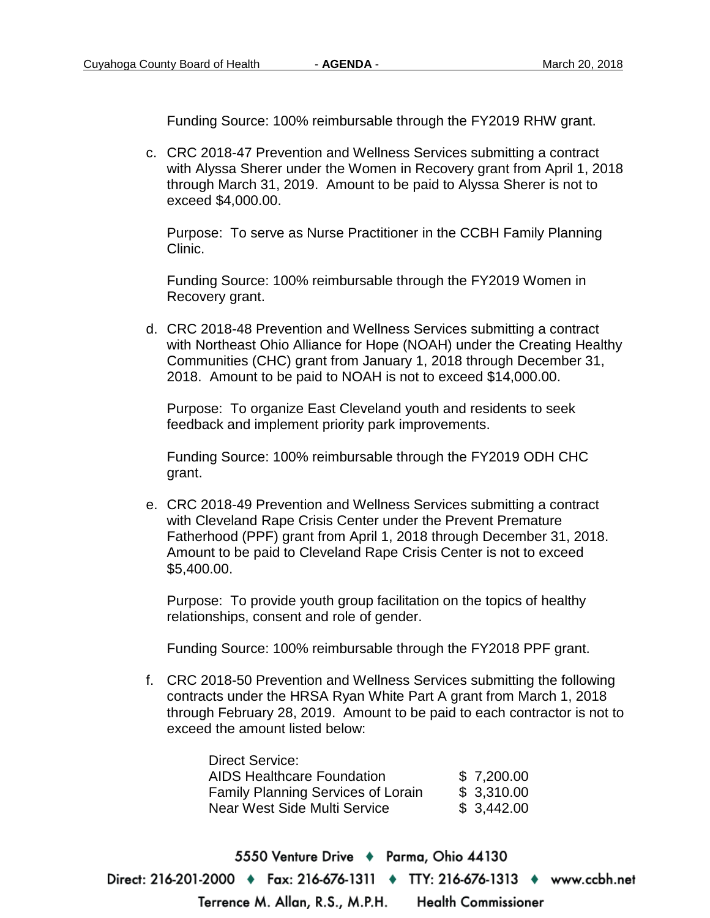Funding Source: 100% reimbursable through the FY2019 RHW grant.

c. CRC 2018-47 Prevention and Wellness Services submitting a contract with Alyssa Sherer under the Women in Recovery grant from April 1, 2018 through March 31, 2019. Amount to be paid to Alyssa Sherer is not to exceed \$4,000.00.

Purpose: To serve as Nurse Practitioner in the CCBH Family Planning Clinic.

Funding Source: 100% reimbursable through the FY2019 Women in Recovery grant.

d. CRC 2018-48 Prevention and Wellness Services submitting a contract with Northeast Ohio Alliance for Hope (NOAH) under the Creating Healthy Communities (CHC) grant from January 1, 2018 through December 31, 2018. Amount to be paid to NOAH is not to exceed \$14,000.00.

Purpose: To organize East Cleveland youth and residents to seek feedback and implement priority park improvements.

Funding Source: 100% reimbursable through the FY2019 ODH CHC grant.

e. CRC 2018-49 Prevention and Wellness Services submitting a contract with Cleveland Rape Crisis Center under the Prevent Premature Fatherhood (PPF) grant from April 1, 2018 through December 31, 2018. Amount to be paid to Cleveland Rape Crisis Center is not to exceed \$5,400.00.

Purpose: To provide youth group facilitation on the topics of healthy relationships, consent and role of gender.

Funding Source: 100% reimbursable through the FY2018 PPF grant.

f. CRC 2018-50 Prevention and Wellness Services submitting the following contracts under the HRSA Ryan White Part A grant from March 1, 2018 through February 28, 2019. Amount to be paid to each contractor is not to exceed the amount listed below:

| <b>Direct Service:</b>                    |            |
|-------------------------------------------|------------|
| <b>AIDS Healthcare Foundation</b>         | \$7,200.00 |
| <b>Family Planning Services of Lorain</b> | \$3,310.00 |
| Near West Side Multi Service              | \$3,442.00 |

5550 Venture Drive + Parma, Ohio 44130 Direct: 216-201-2000 • Fax: 216-676-1311 • TTY: 216-676-1313 • www.ccbh.net **Health Commissioner** Terrence M. Allan, R.S., M.P.H.